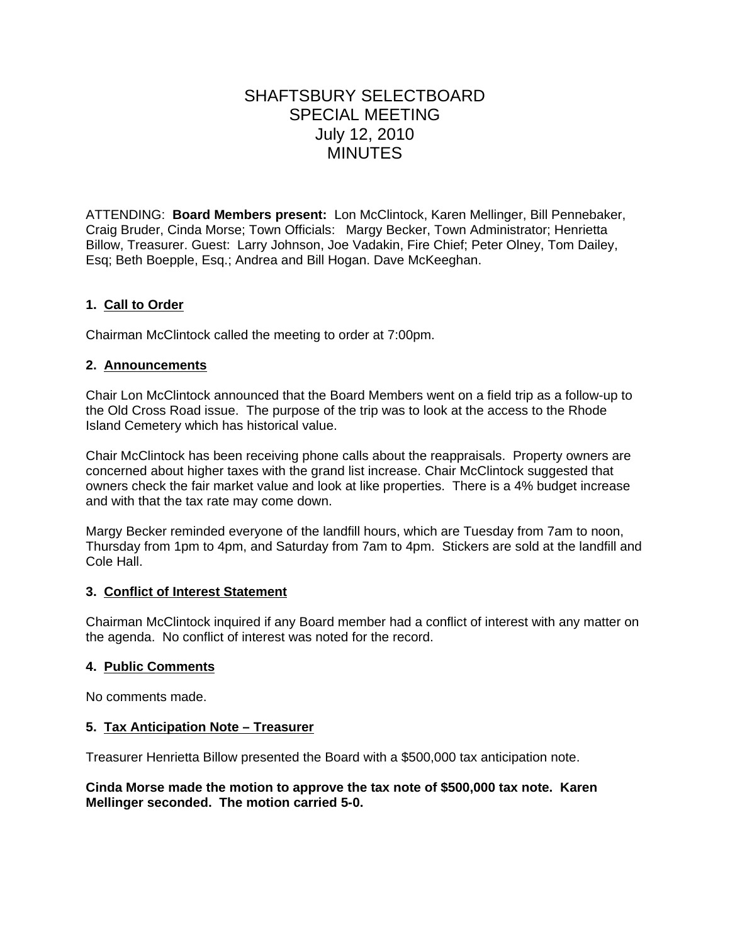# SHAFTSBURY SELECTBOARD SPECIAL MEETING July 12, 2010 **MINUTES**

ATTENDING: **Board Members present:** Lon McClintock, Karen Mellinger, Bill Pennebaker, Craig Bruder, Cinda Morse; Town Officials: Margy Becker, Town Administrator; Henrietta Billow, Treasurer. Guest: Larry Johnson, Joe Vadakin, Fire Chief; Peter Olney, Tom Dailey, Esq; Beth Boepple, Esq.; Andrea and Bill Hogan. Dave McKeeghan.

## **1. Call to Order**

Chairman McClintock called the meeting to order at 7:00pm.

## **2. Announcements**

Chair Lon McClintock announced that the Board Members went on a field trip as a follow-up to the Old Cross Road issue. The purpose of the trip was to look at the access to the Rhode Island Cemetery which has historical value.

Chair McClintock has been receiving phone calls about the reappraisals. Property owners are concerned about higher taxes with the grand list increase. Chair McClintock suggested that owners check the fair market value and look at like properties. There is a 4% budget increase and with that the tax rate may come down.

Margy Becker reminded everyone of the landfill hours, which are Tuesday from 7am to noon, Thursday from 1pm to 4pm, and Saturday from 7am to 4pm. Stickers are sold at the landfill and Cole Hall.

#### **3. Conflict of Interest Statement**

Chairman McClintock inquired if any Board member had a conflict of interest with any matter on the agenda. No conflict of interest was noted for the record.

#### **4. Public Comments**

No comments made.

## **5. Tax Anticipation Note – Treasurer**

Treasurer Henrietta Billow presented the Board with a \$500,000 tax anticipation note.

#### **Cinda Morse made the motion to approve the tax note of \$500,000 tax note. Karen Mellinger seconded. The motion carried 5-0.**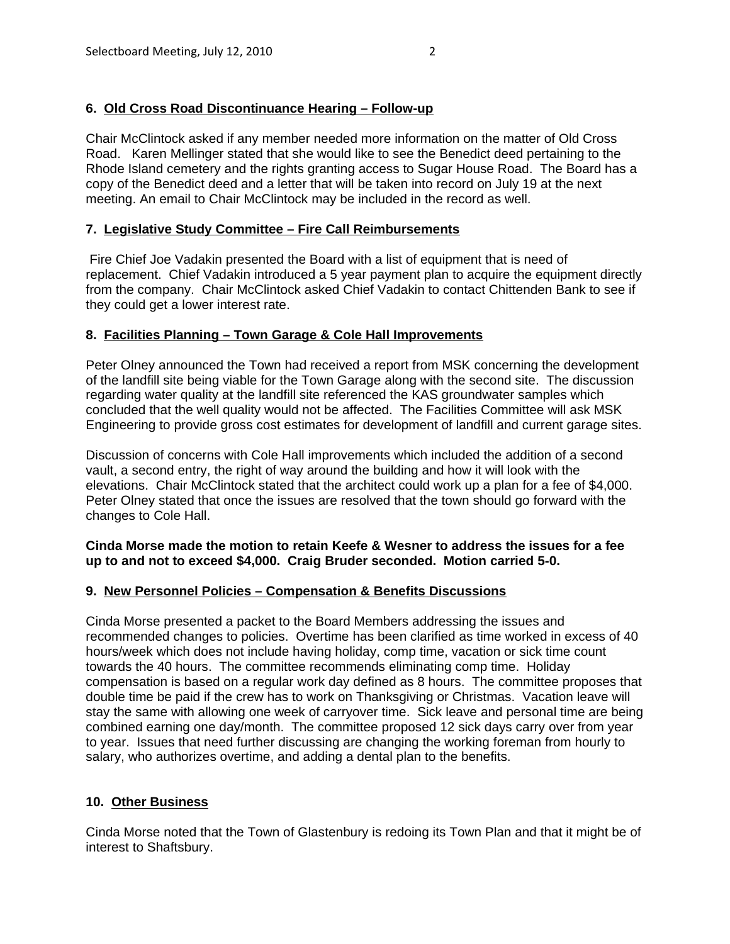# **6. Old Cross Road Discontinuance Hearing – Follow-up**

Chair McClintock asked if any member needed more information on the matter of Old Cross Road. Karen Mellinger stated that she would like to see the Benedict deed pertaining to the Rhode Island cemetery and the rights granting access to Sugar House Road. The Board has a copy of the Benedict deed and a letter that will be taken into record on July 19 at the next meeting. An email to Chair McClintock may be included in the record as well.

## **7. Legislative Study Committee – Fire Call Reimbursements**

 Fire Chief Joe Vadakin presented the Board with a list of equipment that is need of replacement. Chief Vadakin introduced a 5 year payment plan to acquire the equipment directly from the company. Chair McClintock asked Chief Vadakin to contact Chittenden Bank to see if they could get a lower interest rate.

## **8. Facilities Planning – Town Garage & Cole Hall Improvements**

Peter Olney announced the Town had received a report from MSK concerning the development of the landfill site being viable for the Town Garage along with the second site. The discussion regarding water quality at the landfill site referenced the KAS groundwater samples which concluded that the well quality would not be affected. The Facilities Committee will ask MSK Engineering to provide gross cost estimates for development of landfill and current garage sites.

Discussion of concerns with Cole Hall improvements which included the addition of a second vault, a second entry, the right of way around the building and how it will look with the elevations. Chair McClintock stated that the architect could work up a plan for a fee of \$4,000. Peter Olney stated that once the issues are resolved that the town should go forward with the changes to Cole Hall.

## **Cinda Morse made the motion to retain Keefe & Wesner to address the issues for a fee up to and not to exceed \$4,000. Craig Bruder seconded. Motion carried 5-0.**

## **9. New Personnel Policies – Compensation & Benefits Discussions**

Cinda Morse presented a packet to the Board Members addressing the issues and recommended changes to policies. Overtime has been clarified as time worked in excess of 40 hours/week which does not include having holiday, comp time, vacation or sick time count towards the 40 hours. The committee recommends eliminating comp time. Holiday compensation is based on a regular work day defined as 8 hours. The committee proposes that double time be paid if the crew has to work on Thanksgiving or Christmas. Vacation leave will stay the same with allowing one week of carryover time. Sick leave and personal time are being combined earning one day/month. The committee proposed 12 sick days carry over from year to year. Issues that need further discussing are changing the working foreman from hourly to salary, who authorizes overtime, and adding a dental plan to the benefits.

## **10. Other Business**

Cinda Morse noted that the Town of Glastenbury is redoing its Town Plan and that it might be of interest to Shaftsbury.